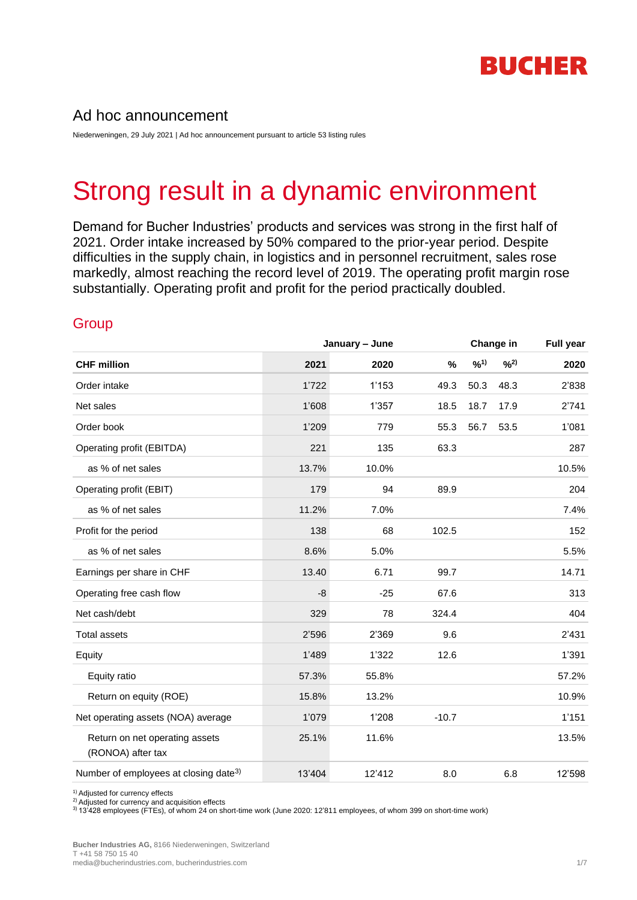

## Ad hoc announcement

Niederweningen, 29 July 2021 | Ad hoc announcement pursuant to article 53 listing rules

# Strong result in a dynamic environment

Demand for Bucher Industries' products and services was strong in the first half of 2021. Order intake increased by 50% compared to the prior-year period. Despite difficulties in the supply chain, in logistics and in personnel recruitment, sales rose markedly, almost reaching the record level of 2019. The operating profit margin rose substantially. Operating profit and profit for the period practically doubled.

# **Group**

|                                                     | January - June |        | Change in |      |      | <b>Full year</b> |  |
|-----------------------------------------------------|----------------|--------|-----------|------|------|------------------|--|
| <b>CHF million</b>                                  | 2021           | 2020   | %         | 9/1) | 9/2) | 2020             |  |
| Order intake                                        | 1'722          | 1'153  | 49.3      | 50.3 | 48.3 | 2'838            |  |
| Net sales                                           | 1'608          | 1'357  | 18.5      | 18.7 | 17.9 | 2'741            |  |
| Order book                                          | 1'209          | 779    | 55.3      | 56.7 | 53.5 | 1'081            |  |
| Operating profit (EBITDA)                           | 221            | 135    | 63.3      |      |      | 287              |  |
| as % of net sales                                   | 13.7%          | 10.0%  |           |      |      | 10.5%            |  |
| Operating profit (EBIT)                             | 179            | 94     | 89.9      |      |      | 204              |  |
| as % of net sales                                   | 11.2%          | 7.0%   |           |      |      | 7.4%             |  |
| Profit for the period                               | 138            | 68     | 102.5     |      |      | 152              |  |
| as % of net sales                                   | 8.6%           | 5.0%   |           |      |      | 5.5%             |  |
| Earnings per share in CHF                           | 13.40          | 6.71   | 99.7      |      |      | 14.71            |  |
| Operating free cash flow                            | -8             | $-25$  | 67.6      |      |      | 313              |  |
| Net cash/debt                                       | 329            | 78     | 324.4     |      |      | 404              |  |
| <b>Total assets</b>                                 | 2'596          | 2'369  | 9.6       |      |      | 2'431            |  |
| Equity                                              | 1'489          | 1'322  | 12.6      |      |      | 1'391            |  |
| Equity ratio                                        | 57.3%          | 55.8%  |           |      |      | 57.2%            |  |
| Return on equity (ROE)                              | 15.8%          | 13.2%  |           |      |      | 10.9%            |  |
| Net operating assets (NOA) average                  | 1'079          | 1'208  | $-10.7$   |      |      | 1'151            |  |
| Return on net operating assets<br>(RONOA) after tax | 25.1%          | 11.6%  |           |      |      | 13.5%            |  |
| Number of employees at closing date <sup>3)</sup>   | 13'404         | 12'412 | 8.0       |      | 6.8  | 12'598           |  |

1) Adjusted for currency effects

<sup>2)</sup> Adjusted for currency and acquisition effects

3) 13'428 employees (FTEs), of whom 24 on short-time work (June 2020: 12'811 employees, of whom 399 on short-time work)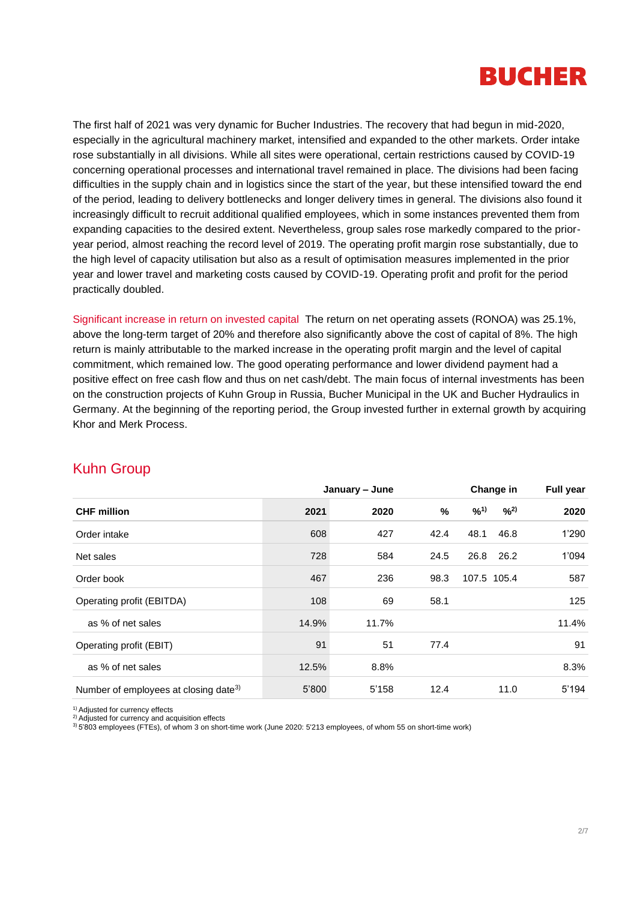

The first half of 2021 was very dynamic for Bucher Industries. The recovery that had begun in mid-2020, especially in the agricultural machinery market, intensified and expanded to the other markets. Order intake rose substantially in all divisions. While all sites were operational, certain restrictions caused by COVID-19 concerning operational processes and international travel remained in place. The divisions had been facing difficulties in the supply chain and in logistics since the start of the year, but these intensified toward the end of the period, leading to delivery bottlenecks and longer delivery times in general. The divisions also found it increasingly difficult to recruit additional qualified employees, which in some instances prevented them from expanding capacities to the desired extent. Nevertheless, group sales rose markedly compared to the prioryear period, almost reaching the record level of 2019. The operating profit margin rose substantially, due to the high level of capacity utilisation but also as a result of optimisation measures implemented in the prior year and lower travel and marketing costs caused by COVID-19. Operating profit and profit for the period practically doubled.

Significant increase in return on invested capital The return on net operating assets (RONOA) was 25.1%, above the long-term target of 20% and therefore also significantly above the cost of capital of 8%. The high return is mainly attributable to the marked increase in the operating profit margin and the level of capital commitment, which remained low. The good operating performance and lower dividend payment had a positive effect on free cash flow and thus on net cash/debt. The main focus of internal investments has been on the construction projects of Kuhn Group in Russia, Bucher Municipal in the UK and Bucher Hydraulics in Germany. At the beginning of the reporting period, the Group invested further in external growth by acquiring Khor and Merk Process.

|                                                   | January - June |       |      | Change in | Full year   |       |
|---------------------------------------------------|----------------|-------|------|-----------|-------------|-------|
| <b>CHF</b> million                                | 2021           | 2020  | %    | $9/0^{1}$ | 9/2)        | 2020  |
| Order intake                                      | 608            | 427   | 42.4 | 48.1      | 46.8        | 1'290 |
| Net sales                                         | 728            | 584   | 24.5 | 26.8      | 26.2        | 1'094 |
| Order book                                        | 467            | 236   | 98.3 |           | 107.5 105.4 | 587   |
| Operating profit (EBITDA)                         | 108            | 69    | 58.1 |           |             | 125   |
| as % of net sales                                 | 14.9%          | 11.7% |      |           |             | 11.4% |
| Operating profit (EBIT)                           | 91             | 51    | 77.4 |           |             | 91    |
| as % of net sales                                 | 12.5%          | 8.8%  |      |           |             | 8.3%  |
| Number of employees at closing date <sup>3)</sup> | 5'800          | 5'158 | 12.4 |           | 11.0        | 5'194 |

#### Kuhn Group

<sup>1)</sup> Adjusted for currency effects

<sup>2)</sup> Adjusted for currency and acquisition effects

3) 5'803 employees (FTEs), of whom 3 on short-time work (June 2020: 5'213 employees, of whom 55 on short-time work)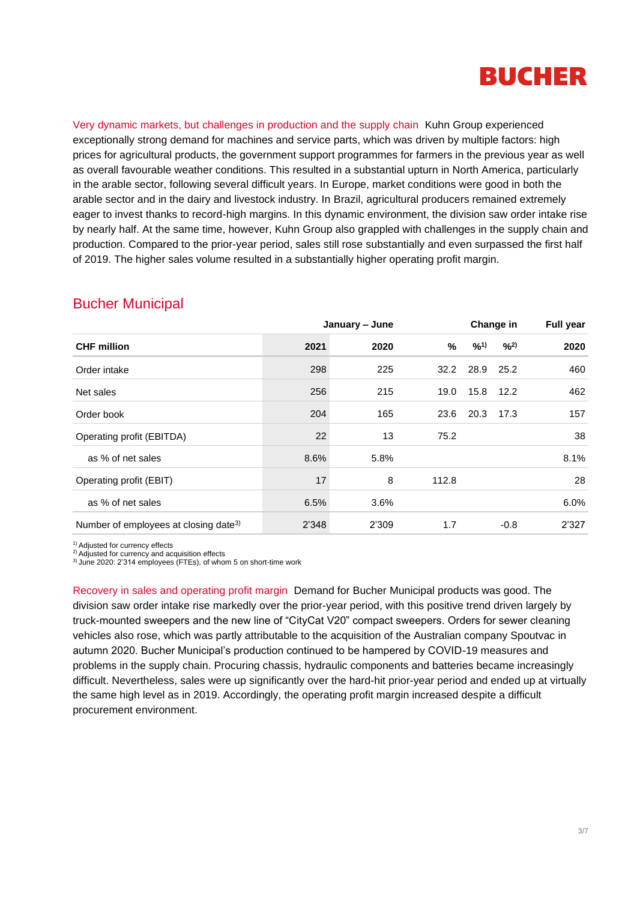

Very dynamic markets, but challenges in production and the supply chain Kuhn Group experienced exceptionally strong demand for machines and service parts, which was driven by multiple factors: high prices for agricultural products, the government support programmes for farmers in the previous year as well as overall favourable weather conditions. This resulted in a substantial upturn in North America, particularly in the arable sector, following several difficult years. In Europe, market conditions were good in both the arable sector and in the dairy and livestock industry. In Brazil, agricultural producers remained extremely eager to invest thanks to record-high margins. In this dynamic environment, the division saw order intake rise by nearly half. At the same time, however, Kuhn Group also grappled with challenges in the supply chain and production. Compared to the prior-year period, sales still rose substantially and even surpassed the first half of 2019. The higher sales volume resulted in a substantially higher operating profit margin.

|                                                   | January - June |         |       | Change in | <b>Full year</b> |       |
|---------------------------------------------------|----------------|---------|-------|-----------|------------------|-------|
| <b>CHF million</b>                                | 2021           | 2020    | %     | $9/0^{1}$ | 9/2)             | 2020  |
| Order intake                                      | 298            | 225     | 32.2  | 28.9      | 25.2             | 460   |
| Net sales                                         | 256            | 215     | 19.0  | 15.8      | 12.2             | 462   |
| Order book                                        | 204            | 165     | 23.6  | 20.3      | 17.3             | 157   |
| Operating profit (EBITDA)                         | 22             | 13      | 75.2  |           |                  | 38    |
| as % of net sales                                 | 8.6%           | 5.8%    |       |           |                  | 8.1%  |
| Operating profit (EBIT)                           | 17             | 8       | 112.8 |           |                  | 28    |
| as % of net sales                                 | 6.5%           | $3.6\%$ |       |           |                  | 6.0%  |
| Number of employees at closing date <sup>3)</sup> | 2'348          | 2'309   | 1.7   |           | $-0.8$           | 2'327 |

#### Bucher Municipal

1) Adjusted for currency effects

<sup>2)</sup> Adjusted for currency and acquisition effects

3) June 2020: 2'314 employees (FTEs), of whom 5 on short-time work

Recovery in sales and operating profit margin Demand for Bucher Municipal products was good. The division saw order intake rise markedly over the prior-year period, with this positive trend driven largely by truck-mounted sweepers and the new line of "CityCat V20" compact sweepers. Orders for sewer cleaning vehicles also rose, which was partly attributable to the acquisition of the Australian company Spoutvac in autumn 2020. Bucher Municipal's production continued to be hampered by COVID-19 measures and problems in the supply chain. Procuring chassis, hydraulic components and batteries became increasingly difficult. Nevertheless, sales were up significantly over the hard-hit prior-year period and ended up at virtually the same high level as in 2019. Accordingly, the operating profit margin increased despite a difficult procurement environment.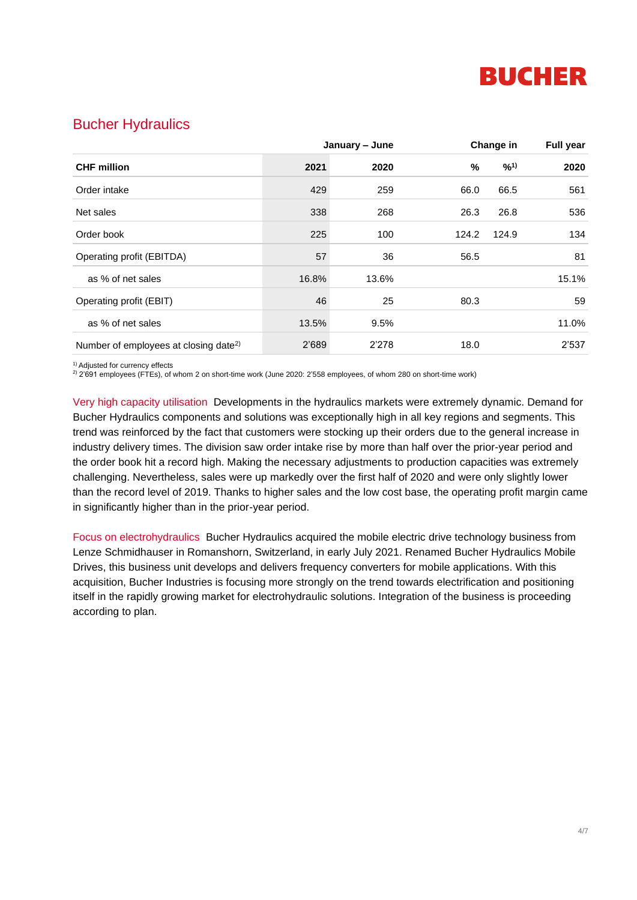

## Bucher Hydraulics

|                                                   | January - June |       |       | Change in |       |
|---------------------------------------------------|----------------|-------|-------|-----------|-------|
| <b>CHF</b> million                                | 2021           | 2020  | %     | $9/0^{1}$ | 2020  |
| Order intake                                      | 429            | 259   | 66.0  | 66.5      | 561   |
| Net sales                                         | 338            | 268   | 26.3  | 26.8      | 536   |
| Order book                                        | 225            | 100   | 124.2 | 124.9     | 134   |
| Operating profit (EBITDA)                         | 57             | 36    | 56.5  |           | 81    |
| as % of net sales                                 | 16.8%          | 13.6% |       |           | 15.1% |
| Operating profit (EBIT)                           | 46             | 25    | 80.3  |           | 59    |
| as % of net sales                                 | 13.5%          | 9.5%  |       |           | 11.0% |
| Number of employees at closing date <sup>2)</sup> | 2'689          | 2'278 | 18.0  |           | 2'537 |

<sup>1)</sup> Adjusted for currency effects

2) 2'691 employees (FTEs), of whom 2 on short-time work (June 2020: 2'558 employees, of whom 280 on short-time work)

Very high capacity utilisation Developments in the hydraulics markets were extremely dynamic. Demand for Bucher Hydraulics components and solutions was exceptionally high in all key regions and segments. This trend was reinforced by the fact that customers were stocking up their orders due to the general increase in industry delivery times. The division saw order intake rise by more than half over the prior-year period and the order book hit a record high. Making the necessary adjustments to production capacities was extremely challenging. Nevertheless, sales were up markedly over the first half of 2020 and were only slightly lower than the record level of 2019. Thanks to higher sales and the low cost base, the operating profit margin came in significantly higher than in the prior-year period.

Focus on electrohydraulics Bucher Hydraulics acquired the mobile electric drive technology business from Lenze Schmidhauser in Romanshorn, Switzerland, in early July 2021. Renamed Bucher Hydraulics Mobile Drives, this business unit develops and delivers frequency converters for mobile applications. With this acquisition, Bucher Industries is focusing more strongly on the trend towards electrification and positioning itself in the rapidly growing market for electrohydraulic solutions. Integration of the business is proceeding according to plan.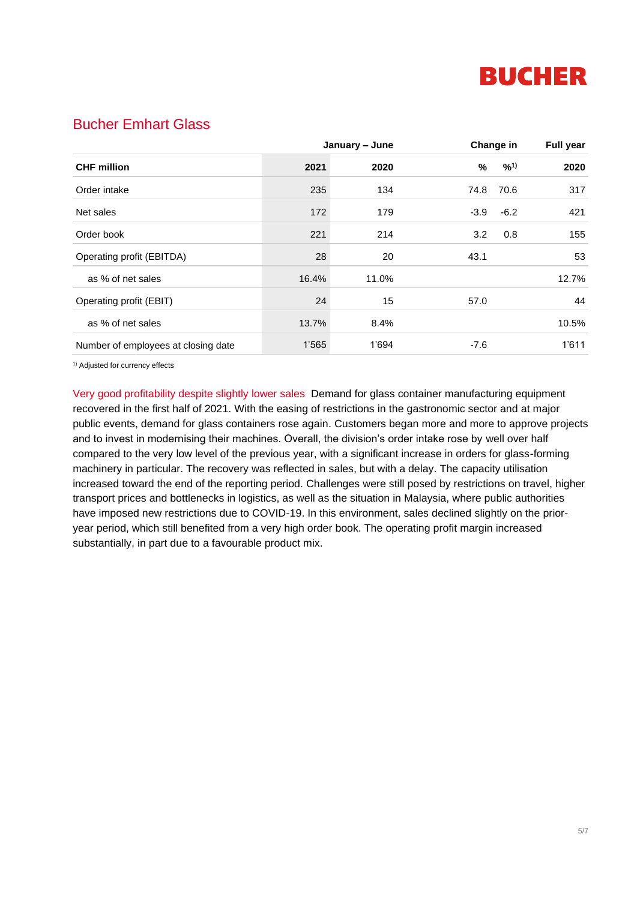

## Bucher Emhart Glass

|                                     | January - June |       |        | Change in |       |
|-------------------------------------|----------------|-------|--------|-----------|-------|
| <b>CHF</b> million                  | 2021           | 2020  | %      | $9/0^{1}$ | 2020  |
| Order intake                        | 235            | 134   | 74.8   | 70.6      | 317   |
| Net sales                           | 172            | 179   | $-3.9$ | $-6.2$    | 421   |
| Order book                          | 221            | 214   | 3.2    | 0.8       | 155   |
| Operating profit (EBITDA)           | 28             | 20    | 43.1   |           | 53    |
| as % of net sales                   | 16.4%          | 11.0% |        |           | 12.7% |
| Operating profit (EBIT)             | 24             | 15    | 57.0   |           | 44    |
| as % of net sales                   | 13.7%          | 8.4%  |        |           | 10.5% |
| Number of employees at closing date | 1'565          | 1'694 | -7.6   |           | 1'611 |

<sup>1)</sup> Adjusted for currency effects

Very good profitability despite slightly lower sales Demand for glass container manufacturing equipment recovered in the first half of 2021. With the easing of restrictions in the gastronomic sector and at major public events, demand for glass containers rose again. Customers began more and more to approve projects and to invest in modernising their machines. Overall, the division's order intake rose by well over half compared to the very low level of the previous year, with a significant increase in orders for glass-forming machinery in particular. The recovery was reflected in sales, but with a delay. The capacity utilisation increased toward the end of the reporting period. Challenges were still posed by restrictions on travel, higher transport prices and bottlenecks in logistics, as well as the situation in Malaysia, where public authorities have imposed new restrictions due to COVID-19. In this environment, sales declined slightly on the prioryear period, which still benefited from a very high order book. The operating profit margin increased substantially, in part due to a favourable product mix.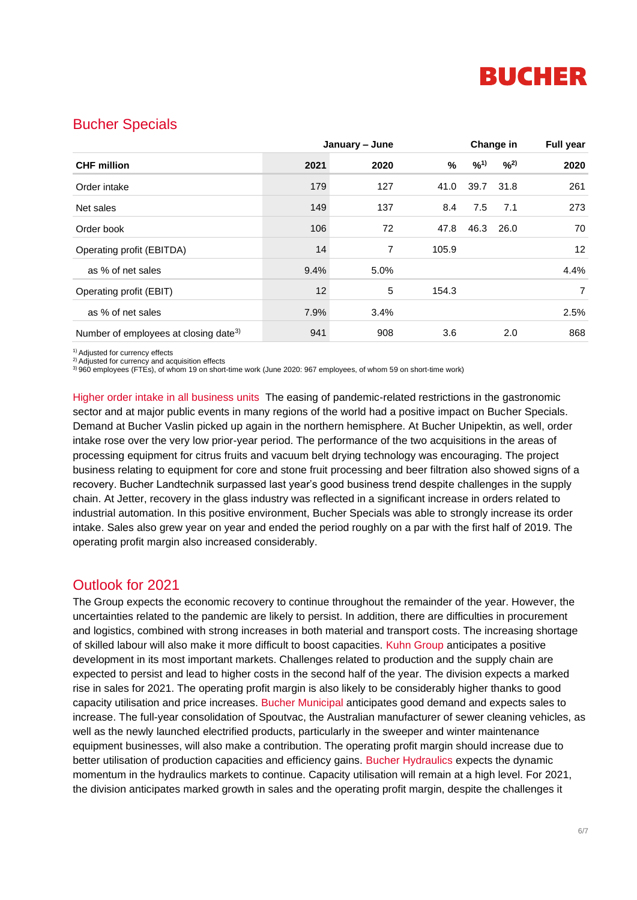

#### Bucher Specials

|                                                   | January - June |      |       | Change in |      | <b>Full year</b> |
|---------------------------------------------------|----------------|------|-------|-----------|------|------------------|
| <b>CHF</b> million                                | 2021           | 2020 | %     | $9/0^{1}$ | 9/2) | 2020             |
| Order intake                                      | 179            | 127  | 41.0  | 39.7      | 31.8 | 261              |
| Net sales                                         | 149            | 137  | 8.4   | 7.5       | 7.1  | 273              |
| Order book                                        | 106            | 72   | 47.8  | 46.3      | 26.0 | 70               |
| Operating profit (EBITDA)                         | 14             | 7    | 105.9 |           |      | 12               |
| as % of net sales                                 | 9.4%           | 5.0% |       |           |      | 4.4%             |
| Operating profit (EBIT)                           | 12             | 5    | 154.3 |           |      | $\overline{7}$   |
| as % of net sales                                 | 7.9%           | 3.4% |       |           |      | 2.5%             |
| Number of employees at closing date <sup>3)</sup> | 941            | 908  | 3.6   |           | 2.0  | 868              |

<sup>1)</sup> Adjusted for currency effects

2) Adjusted for currency and acquisition effects

3) 960 employees (FTEs), of whom 19 on short-time work (June 2020: 967 employees, of whom 59 on short-time work)

Higher order intake in all business units The easing of pandemic-related restrictions in the gastronomic sector and at major public events in many regions of the world had a positive impact on Bucher Specials. Demand at Bucher Vaslin picked up again in the northern hemisphere. At Bucher Unipektin, as well, order intake rose over the very low prior-year period. The performance of the two acquisitions in the areas of processing equipment for citrus fruits and vacuum belt drying technology was encouraging. The project business relating to equipment for core and stone fruit processing and beer filtration also showed signs of a recovery. Bucher Landtechnik surpassed last year's good business trend despite challenges in the supply chain. At Jetter, recovery in the glass industry was reflected in a significant increase in orders related to industrial automation. In this positive environment, Bucher Specials was able to strongly increase its order intake. Sales also grew year on year and ended the period roughly on a par with the first half of 2019. The operating profit margin also increased considerably.

#### Outlook for 2021

The Group expects the economic recovery to continue throughout the remainder of the year. However, the uncertainties related to the pandemic are likely to persist. In addition, there are difficulties in procurement and logistics, combined with strong increases in both material and transport costs. The increasing shortage of skilled labour will also make it more difficult to boost capacities. Kuhn Group anticipates a positive development in its most important markets. Challenges related to production and the supply chain are expected to persist and lead to higher costs in the second half of the year. The division expects a marked rise in sales for 2021. The operating profit margin is also likely to be considerably higher thanks to good capacity utilisation and price increases. Bucher Municipal anticipates good demand and expects sales to increase. The full-year consolidation of Spoutvac, the Australian manufacturer of sewer cleaning vehicles, as well as the newly launched electrified products, particularly in the sweeper and winter maintenance equipment businesses, will also make a contribution. The operating profit margin should increase due to better utilisation of production capacities and efficiency gains. Bucher Hydraulics expects the dynamic momentum in the hydraulics markets to continue. Capacity utilisation will remain at a high level. For 2021, the division anticipates marked growth in sales and the operating profit margin, despite the challenges it